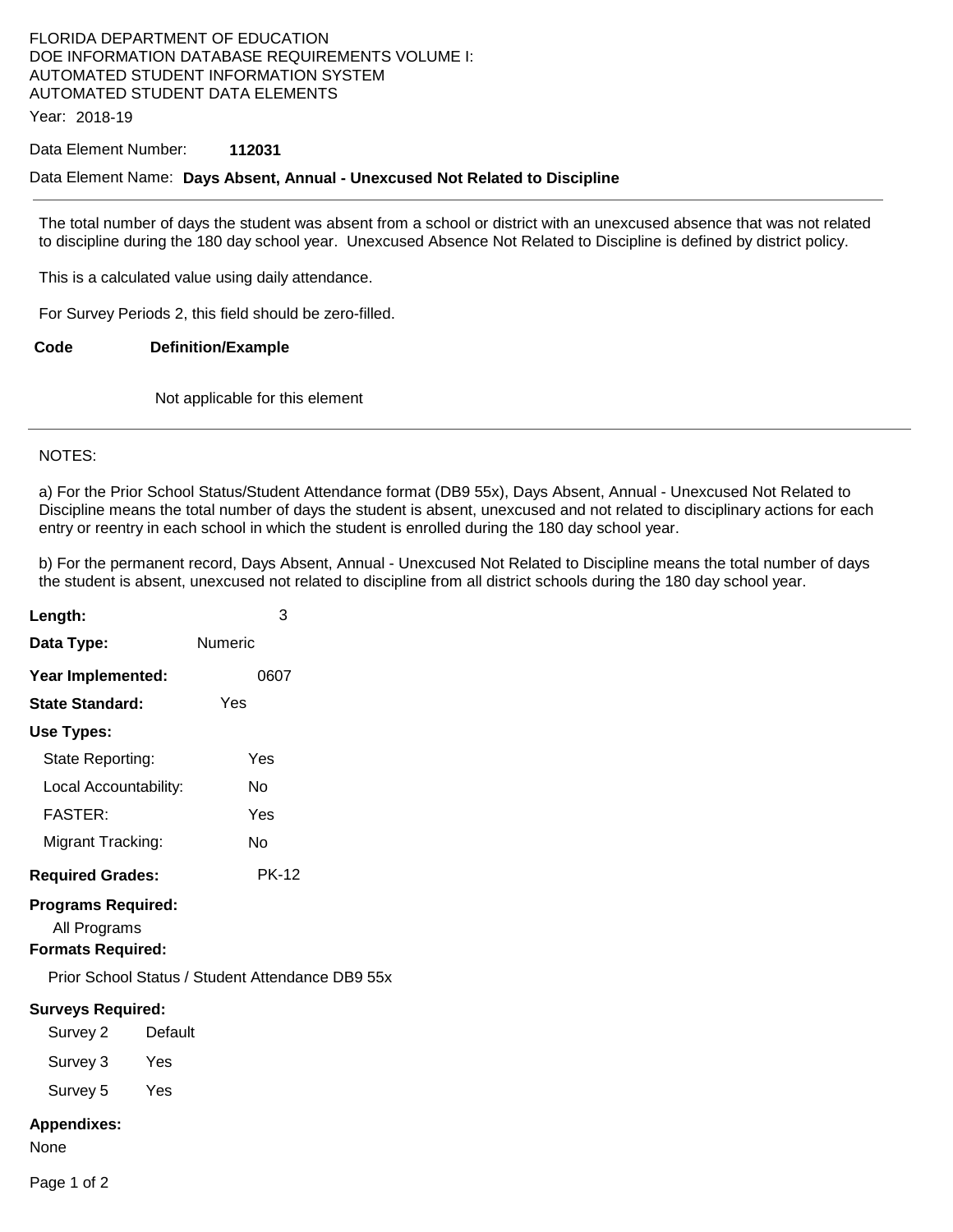# FLORIDA DEPARTMENT OF EDUCATION DOE INFORMATION DATABASE REQUIREMENTS VOLUME I: AUTOMATED STUDENT INFORMATION SYSTEM AUTOMATED STUDENT DATA ELEMENTS

Year: 2018-19

### Data Element Number: **112031**

### Data Element Name: **Days Absent, Annual - Unexcused Not Related to Discipline**

The total number of days the student was absent from a school or district with an unexcused absence that was not related to discipline during the 180 day school year. Unexcused Absence Not Related to Discipline is defined by district policy.

This is a calculated value using daily attendance.

For Survey Periods 2, this field should be zero-filled.

**Code Definition/Example** 

Not applicable for this element

### NOTES:

a) For the Prior School Status/Student Attendance format (DB9 55x), Days Absent, Annual - Unexcused Not Related to Discipline means the total number of days the student is absent, unexcused and not related to disciplinary actions for each entry or reentry in each school in which the student is enrolled during the 180 day school year.

b) For the permanent record, Days Absent, Annual - Unexcused Not Related to Discipline means the total number of days the student is absent, unexcused not related to discipline from all district schools during the 180 day school year.

| Length:                                                               | 3              |
|-----------------------------------------------------------------------|----------------|
| Data Type:                                                            | <b>Numeric</b> |
| Year Implemented:                                                     | 0607           |
| <b>State Standard:</b>                                                | Yes            |
| Use Types:                                                            |                |
| State Reporting:                                                      | Yes            |
| Local Accountability:                                                 | No             |
| <b>FASTER:</b>                                                        | Yes            |
| Migrant Tracking:                                                     | No             |
| <b>Required Grades:</b>                                               | <b>PK-12</b>   |
| <b>Programs Required:</b><br>All Programs<br><b>Formats Required:</b> |                |
| Prior School Status / Student Attendance DB9 55x                      |                |
| <b>Surveys Required:</b><br>Survey 2                                  | Default        |
| Survey 3<br>Yes                                                       |                |
| Survey 5<br>Yes                                                       |                |
| <b>Appendixes:</b><br>None                                            |                |

Page 1 of 2